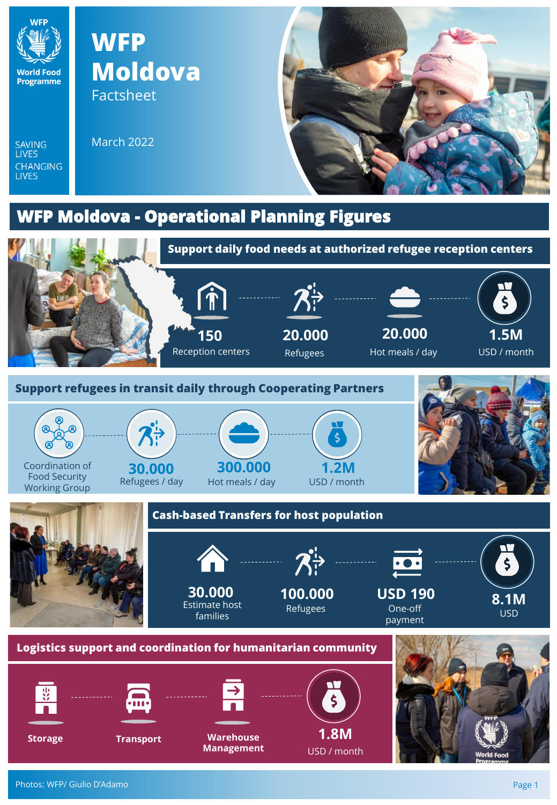

SAVING<br>LIVES

CHANGING<br>LIVES

## **WFP Moldova** Factsheet

March 2022



## **WFP Moldova - Operational Planning Figures**